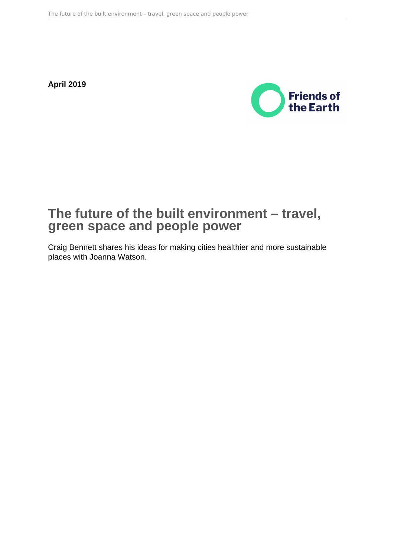**April 2019**



# **The future of the built environment – travel, green space and people power**

Craig Bennett shares his ideas for making cities healthier and more sustainable places with Joanna Watson.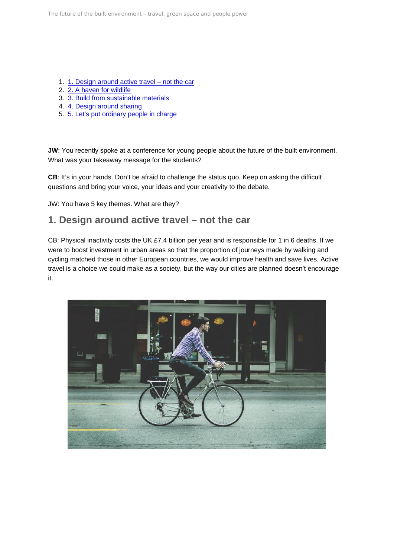- 1. 1. Design around active travel not the car
- 2. [2. A haven for wildlife](#page-3-0)
- 3. [3. Build from sustainable materials](#page-5-0)
- 4. [4. Design around sharing](#page-6-0)
- 5. [5. Let's put ordinary people in charge](#page-7-0)

JW: You recently spoke at a conference for young people about the future of the built environment. What was your takeaway message for the students?

CB: It's in your hands. Don't be afraid to challenge the status quo. Keep on asking the difficult questions and bring your voice, your ideas and your creativity to the debate.

JW: You have 5 key themes. What are they?

### 1. Design around active travel – not the car

CB: Physical inactivity costs the UK £7.4 billion per year and is responsible for 1 in 6 deaths. If we were to boost investment in urban areas so that the proportion of journeys made by walking and cycling matched those in other European countries, we would improve health and save lives. Active travel is a choice we could make as a society, but the way our cities are planned doesn't encourage it.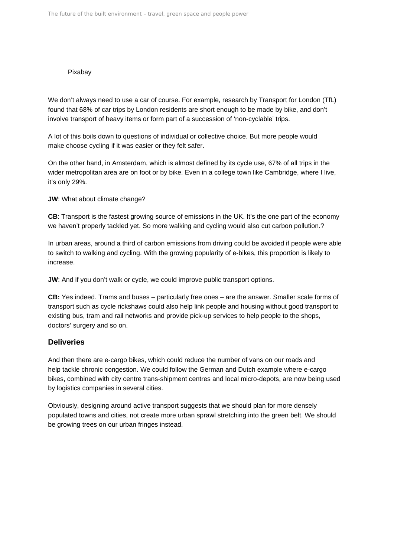#### Pixabay

We don't always need to use a car of course. For example, research by Transport for London (TfL) found that 68% of car trips by London residents are short enough to be made by bike, and don't involve transport of heavy items or form part of a succession of 'non-cyclable' trips.

A lot of this boils down to questions of individual or collective choice. But more people would make choose cycling if it was easier or they felt safer.

On the other hand, in Amsterdam, which is almost defined by its cycle use, 67% of all trips in the wider metropolitan area are on foot or by bike. Even in a college town like Cambridge, where I live, it's only 29%.

**JW**: What about climate change?

**CB**: Transport is the fastest growing source of emissions in the UK. It's the one part of the economy we haven't properly tackled yet. So more walking and cycling would also cut carbon pollution.?

In urban areas, around a third of carbon emissions from driving could be avoided if people were able to switch to walking and cycling. With the growing popularity of e-bikes, this proportion is likely to increase.

**JW**: And if you don't walk or cycle, we could improve public transport options.

**CB:** Yes indeed. Trams and buses – particularly free ones – are the answer. Smaller scale forms of transport such as cycle rickshaws could also help link people and housing without good transport to existing bus, tram and rail networks and provide pick-up services to help people to the shops, doctors' surgery and so on.

### **Deliveries**

And then there are e-cargo bikes, which could reduce the number of vans on our roads and help tackle chronic congestion. We could follow the German and Dutch example where e-cargo bikes, combined with city centre trans-shipment centres and local micro-depots, are now being used by logistics companies in several cities.

Obviously, designing around active transport suggests that we should plan for more densely populated towns and cities, not create more urban sprawl stretching into the green belt. We should be growing trees on our urban fringes instead.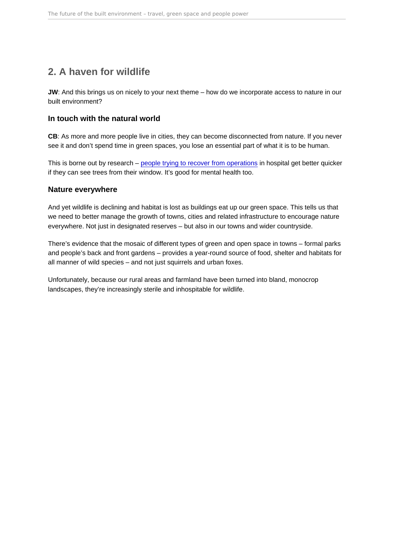# <span id="page-3-0"></span>2. A haven for wildlife

JW: And this brings us on nicely to your next theme – how do we incorporate access to nature in our built environment?

### In touch with the natural world

CB: As more and more people live in cities, they can become disconnected from nature. If you never see it and don't spend time in green spaces, you lose an essential part of what it is to be human.

This is borne out by research – [people trying to recover from operations](https://nhsforest.org/evidence-benefits ) in hospital get better quicker if they can see trees from their window. It's good for mental health too.

### Nature everywhere

And yet wildlife is declining and habitat is lost as buildings eat up our green space. This tells us that we need to better manage the growth of towns, cities and related infrastructure to encourage nature everywhere. Not just in designated reserves – but also in our towns and wider countryside.

There's evidence that the mosaic of different types of green and open space in towns – formal parks and people's back and front gardens – provides a year-round source of food, shelter and habitats for all manner of wild species – and not just squirrels and urban foxes.

Unfortunately, because our rural areas and farmland have been turned into bland, monocrop landscapes, they're increasingly sterile and inhospitable for wildlife.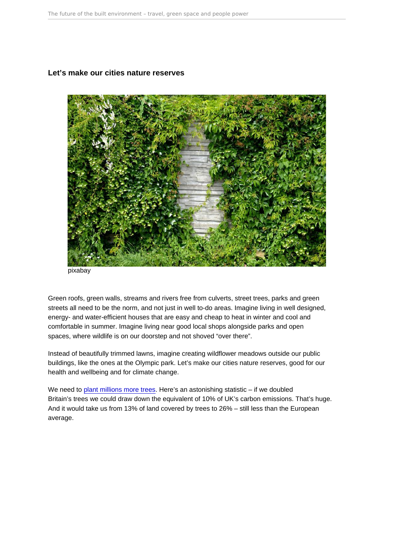Let's make our cities nature reserves

pixabay

Green roofs, green walls, streams and rivers free from culverts, street trees, parks and green streets all need to be the norm, and not just in well to-do areas. Imagine living in well designed, energy- and water-efficient houses that are easy and cheap to heat in winter and cool and comfortable in summer. Imagine living near good local shops alongside parks and open spaces, where wildlife is on our doorstep and not shoved "over there".

Instead of beautifully trimmed lawns, imagine creating wildflower meadows outside our public buildings, like the ones at the Olympic park. Let's make our cities nature reserves, good for our health and wellbeing and for climate change.

We need to [plant millions more trees.]([‎25/‎09/‎2019 11:50]  Rita Marcangelo:   https://act.friendsoftheearth.uk/petition/tell-uk-government-double-tree-cover    We saved this conversation. You) Here's an astonishing statistic – if we doubled Britain's trees we could draw down the equivalent of 10% of UK's carbon emissions. That's huge. And it would take us from 13% of land covered by trees to 26% – still less than the European average.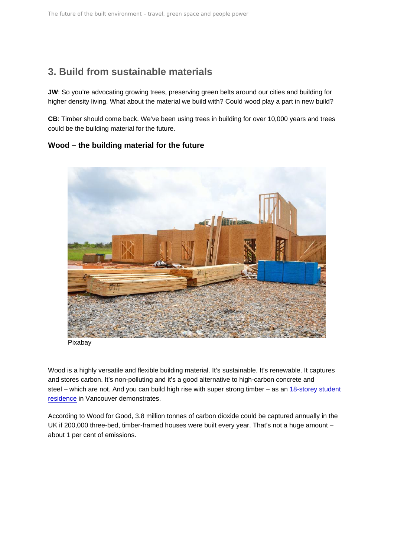# <span id="page-5-0"></span>3. Build from sustainable materials

JW: So you're advocating growing trees, preserving green belts around our cities and building for higher density living. What about the material we build with? Could wood play a part in new build?

CB: Timber should come back. We've been using trees in building for over 10,000 years and trees could be the building material for the future.

Wood – the building material for the future

Pixabay

Wood is a highly versatile and flexible building material. It's sustainable. It's renewable. It captures and stores carbon. It's non-polluting and it's a good alternative to high-carbon concrete and steel – which are not. And you can build high rise with super strong timber – as an [18-storey student](https://www.nrcan.gc.ca/worlds-tallest-hybrid-wood-building-vancouvers-18-storey-student-residence/20305)  [residence](https://www.nrcan.gc.ca/worlds-tallest-hybrid-wood-building-vancouvers-18-storey-student-residence/20305) in Vancouver demonstrates.

According to Wood for Good, 3.8 million tonnes of carbon dioxide could be captured annually in the UK if 200,000 three-bed, timber-framed houses were built every year. That's not a huge amount – about 1 per cent of emissions.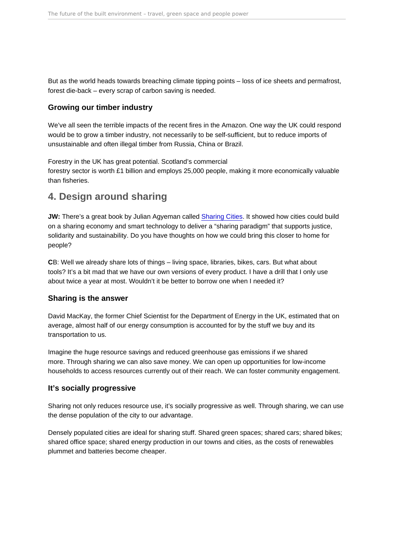<span id="page-6-0"></span>But as the world heads towards breaching climate tipping points – loss of ice sheets and permafrost, forest die-back – every scrap of carbon saving is needed.

### Growing our timber industry

We've all seen the terrible impacts of the recent fires in the Amazon. One way the UK could respond would be to grow a timber industry, not necessarily to be self-sufficient, but to reduce imports of unsustainable and often illegal timber from Russia, China or Brazil.

Forestry in the UK has great potential. Scotland's commercial forestry sector is worth £1 billion and employs 25,000 people, making it more economically valuable than fisheries.

### 4. Design around sharing

JW: There's a great book by Julian Agyeman called [Sharing Cities.](https://mitpress.mit.edu/books/sharing-cities) It showed how cities could build on a sharing economy and smart technology to deliver a "sharing paradigm" that supports justice, solidarity and sustainability. Do you have thoughts on how we could bring this closer to home for people?

CB: Well we already share lots of things – living space, libraries, bikes, cars. But what about tools? It's a bit mad that we have our own versions of every product. I have a drill that I only use about twice a year at most. Wouldn't it be better to borrow one when I needed it?

### Sharing is the answer

David MacKay, the former Chief Scientist for the Department of Energy in the UK, estimated that on average, almost half of our energy consumption is accounted for by the stuff we buy and its transportation to us.

Imagine the huge resource savings and reduced greenhouse gas emissions if we shared more. Through sharing we can also save money. We can open up opportunities for low-income households to access resources currently out of their reach. We can foster community engagement.

### It's socially progressive

Sharing not only reduces resource use, it's socially progressive as well. Through sharing, we can use the dense population of the city to our advantage.

Densely populated cities are ideal for sharing stuff. Shared green spaces; shared cars; shared bikes; shared office space; shared energy production in our towns and cities, as the costs of renewables plummet and batteries become cheaper.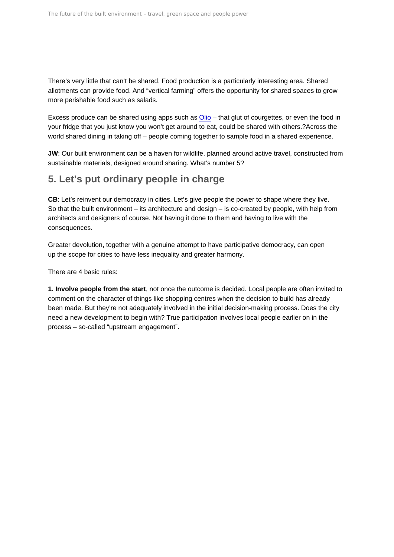<span id="page-7-0"></span>There's very little that can't be shared. Food production is a particularly interesting area. Shared allotments can provide food. And "vertical farming" offers the opportunity for shared spaces to grow more perishable food such as salads.

Excess produce can be shared using apps such as [Olio](https://olioex.com/) – that glut of courgettes, or even the food in your fridge that you just know you won't get around to eat, could be shared with others.?Across the world shared dining in taking off – people coming together to sample food in a shared experience.

JW: Our built environment can be a haven for wildlife, planned around active travel, constructed from sustainable materials, designed around sharing. What's number 5?

## 5. Let's put ordinary people in charge

CB: Let's reinvent our democracy in cities. Let's give people the power to shape where they live. So that the built environment – its architecture and design – is co-created by people, with help from architects and designers of course. Not having it done to them and having to live with the consequences.

Greater devolution, together with a genuine attempt to have participative democracy, can open up the scope for cities to have less inequality and greater harmony.

There are 4 basic rules:

1. Involve people from the start , not once the outcome is decided. Local people are often invited to comment on the character of things like shopping centres when the decision to build has already been made. But they're not adequately involved in the initial decision-making process. Does the city need a new development to begin with? True participation involves local people earlier on in the process – so-called "upstream engagement".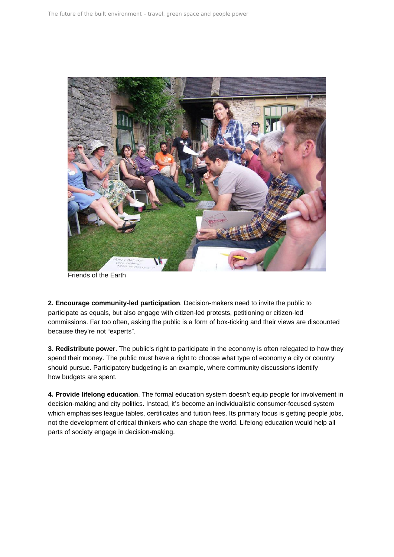

Friends of the Earth

**2. Encourage community-led participation**. Decision-makers need to invite the public to participate as equals, but also engage with citizen-led protests, petitioning or citizen-led commissions. Far too often, asking the public is a form of box-ticking and their views are discounted because they're not "experts".

**3. Redistribute power**. The public's right to participate in the economy is often relegated to how they spend their money. The public must have a right to choose what type of economy a city or country should pursue. Participatory budgeting is an example, where community discussions identify how budgets are spent.

**4. Provide lifelong education**. The formal education system doesn't equip people for involvement in decision-making and city politics. Instead, it's become an individualistic consumer-focused system which emphasises league tables, certificates and tuition fees. Its primary focus is getting people jobs, not the development of critical thinkers who can shape the world. Lifelong education would help all parts of society engage in decision-making.